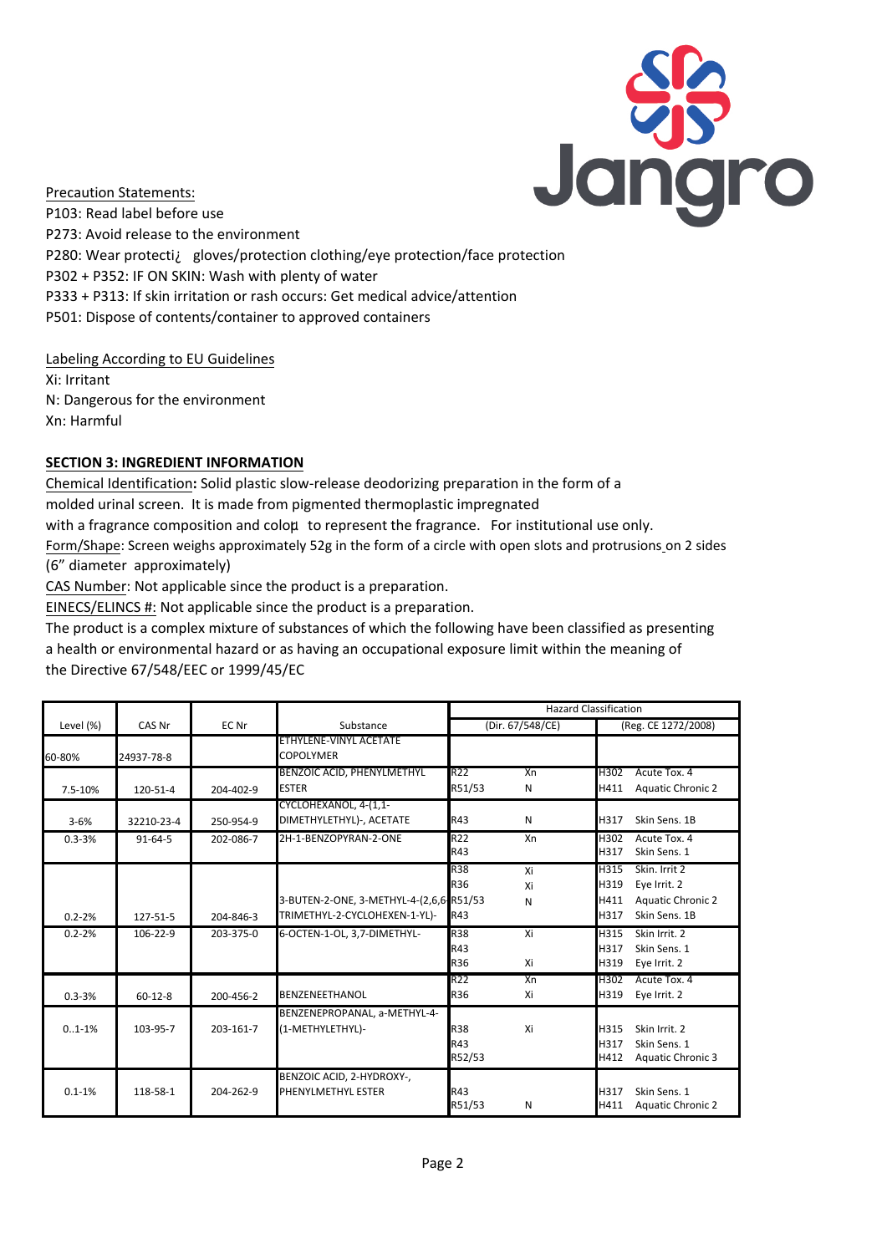

Precaution Statements: P103: Read label before use P273: Avoid release to the environment P280: Wear protectiÀ gloves/protection clothing/eye protection/face protection P302 + P352: IF ON SKIN: Wash with plenty of water P333 + P313: If skin irritation or rash occurs: Get medical advice/attention P501: Dispose of contents/container to approved containers

#### Labeling According to EU Guidelines

Xi: Irritant N: Dangerous for the environment Xn: Harmful

# **SECTION 3: INGREDIENT INFORMATION**

Chemical Identification**:** Solid plastic slow-release deodorizing preparation in the form of a molded urinal screen. It is made from pigmented thermoplastic impregnated with a fragrance composition and coloµ to represent the fragrance. For institutional use only.

Form/Shape: Screen weighs approximately 52g in the form of a circle with open slots and protrusions on 2 sides (6" diameter approximately)

CAS Number: Not applicable since the product is a preparation.

EINECS/ELINCS #: Not applicable since the product is a preparation.

The product is a complex mixture of substances of which the following have been classified as presenting a health or environmental hazard or as having an occupational exposure limit within the meaning of the Directive 67/548/EEC or 1999/45/EC

|            |               |           |                                         | <b>Hazard Classification</b> |    |                     |                          |  |
|------------|---------------|-----------|-----------------------------------------|------------------------------|----|---------------------|--------------------------|--|
| Level (%)  | CAS Nr        | EC Nr     | Substance                               | (Dir. 67/548/CE)             |    | (Reg. CE 1272/2008) |                          |  |
|            |               |           | ETHYLENE-VINYL ACETATE                  |                              |    |                     |                          |  |
| 60-80%     | 24937-78-8    |           | <b>COPOLYMER</b>                        |                              |    |                     |                          |  |
|            |               |           | <b>BENZOIC ACID, PHENYLMETHYL</b>       | R <sub>22</sub>              | Xn | H302                | Acute Tox. 4             |  |
| 7.5-10%    | 120-51-4      | 204-402-9 | <b>ESTER</b>                            | R51/53                       | N  | H411                | <b>Aquatic Chronic 2</b> |  |
|            |               |           | CYCLOHEXANOL, 4-(1,1-                   |                              |    |                     |                          |  |
| $3 - 6%$   | 32210-23-4    | 250-954-9 | DIMETHYLETHYL)-, ACETATE                | R43                          | N  | H317                | Skin Sens. 1B            |  |
| $0.3 - 3%$ | $91 - 64 - 5$ | 202-086-7 | 2H-1-BENZOPYRAN-2-ONE                   | R <sub>22</sub>              | Xn | H302                | Acute Tox. 4             |  |
|            |               |           |                                         | R43                          |    | H317                | Skin Sens. 1             |  |
|            |               |           |                                         | R38                          | Xi | H315                | Skin. Irrit 2            |  |
|            |               |           |                                         | R36                          | Xi | H319                | Eye Irrit. 2             |  |
|            |               |           | 3-BUTEN-2-ONE, 3-METHYL-4-(2,6,6-R51/53 |                              | N  | H411                | <b>Aquatic Chronic 2</b> |  |
| $0.2 - 2%$ | 127-51-5      | 204-846-3 | TRIMETHYL-2-CYCLOHEXEN-1-YL)-           | R43                          |    | H317                | Skin Sens. 1B            |  |
| $0.2 - 2%$ | 106-22-9      | 203-375-0 | 6-OCTEN-1-OL, 3,7-DIMETHYL-             | R38                          | Xi | H315                | Skin Irrit. 2            |  |
|            |               |           |                                         | R43                          |    | H317                | Skin Sens. 1             |  |
|            |               |           |                                         | R36                          | Xi | H319                | Eye Irrit. 2             |  |
|            |               |           |                                         | R <sub>22</sub>              | Xn | H302                | Acute Tox. 4             |  |
| $0.3 - 3%$ | $60 - 12 - 8$ | 200-456-2 | <b>BENZENEETHANOL</b>                   | <b>R36</b>                   | Xi | H319                | Eye Irrit. 2             |  |
|            |               |           | BENZENEPROPANAL, a-METHYL-4-            |                              |    |                     |                          |  |
| $0.1 - 1%$ | 103-95-7      | 203-161-7 | (1-METHYLETHYL)-                        | R38                          | Xi | H315                | Skin Irrit, 2            |  |
|            |               |           |                                         | R43                          |    | H317                | Skin Sens. 1             |  |
|            |               |           |                                         | R52/53                       |    | H412                | <b>Aquatic Chronic 3</b> |  |
|            |               |           | BENZOIC ACID, 2-HYDROXY-,               |                              |    |                     |                          |  |
| $0.1 - 1%$ | 118-58-1      | 204-262-9 | PHENYLMETHYL ESTER                      | R43                          |    | H317                | Skin Sens. 1             |  |
|            |               |           |                                         | R51/53                       | Ν  | H411                | <b>Aquatic Chronic 2</b> |  |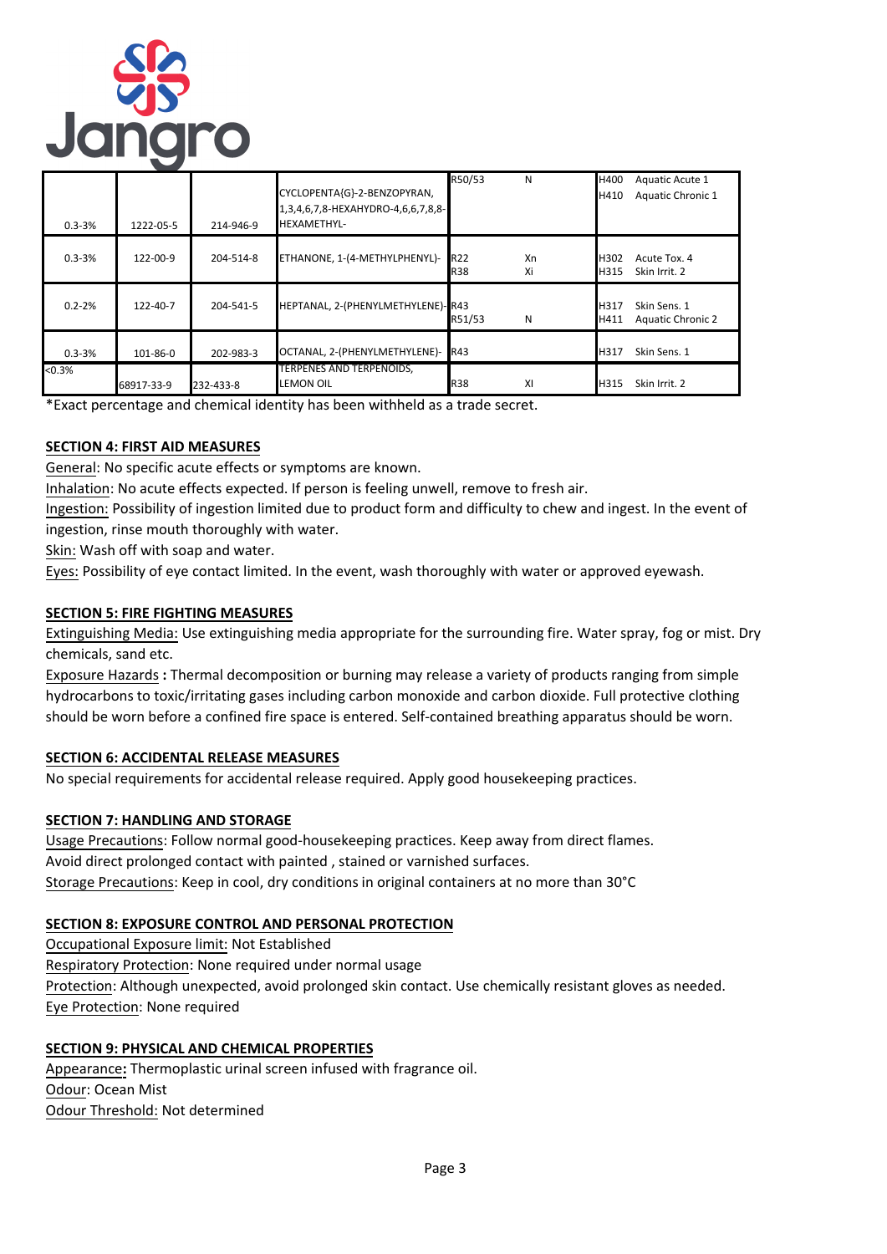

| $0.3 - 3%$ | 1222-05-5      | 214-946-9 | CYCLOPENTA{G}-2-BENZOPYRAN,<br>1,3,4,6,7,8-HEXAHYDRO-4,6,6,7,8,8-<br><b>HEXAMETHYL-</b> | R50/53                   | N        | H400<br>H410 | Aquatic Acute 1<br>Aquatic Chronic 1     |
|------------|----------------|-----------|-----------------------------------------------------------------------------------------|--------------------------|----------|--------------|------------------------------------------|
| $0.3 - 3%$ | $122 - 00 - 9$ | 204-514-8 | ETHANONE, 1-(4-METHYLPHENYL)-                                                           | <b>R22</b><br><b>R38</b> | Xn<br>Xi | H302<br>H315 | Acute Tox. 4<br>Skin Irrit. 2            |
| $0.2 - 2%$ | $122 - 40 - 7$ | 204-541-5 | HEPTANAL, 2-(PHENYLMETHYLENE)-R43                                                       | R51/53                   | N        | H317<br>H411 | Skin Sens. 1<br><b>Aquatic Chronic 2</b> |
| $0.3 - 3%$ | 101-86-0       | 202-983-3 | OCTANAL, 2-(PHENYLMETHYLENE)- R43                                                       |                          |          | H317         | Skin Sens. 1                             |
| < 0.3%     | 68917-33-9     | 232-433-8 | TERPENES AND TERPENOIDS,<br><b>LEMON OIL</b>                                            | <b>R38</b>               | XI       | H315         | Skin Irrit. 2                            |

\*Exact percentage and chemical identity has been withheld as a trade secret.

#### **SECTION 4: FIRST AID MEASURES**

General: No specific acute effects or symptoms are known.

Inhalation: No acute effects expected. If person is feeling unwell, remove to fresh air.

Ingestion: Possibility of ingestion limited due to product form and difficulty to chew and ingest. In the event of ingestion, rinse mouth thoroughly with water.

Skin: Wash off with soap and water.

Eyes: Possibility of eye contact limited. In the event, wash thoroughly with water or approved eyewash.

#### **SECTION 5: FIRE FIGHTING MEASURES**

Extinguishing Media: Use extinguishing media appropriate for the surrounding fire. Water spray, fog or mist. Dry chemicals, sand etc.

Exposure Hazards **:** Thermal decomposition or burning may release a variety of products ranging from simple hydrocarbons to toxic/irritating gases including carbon monoxide and carbon dioxide. Full protective clothing should be worn before a confined fire space is entered. Self-contained breathing apparatus should be worn.

#### **SECTION 6: ACCIDENTAL RELEASE MEASURES**

No special requirements for accidental release required. Apply good housekeeping practices.

# **SECTION 7: HANDLING AND STORAGE**

Usage Precautions: Follow normal good-housekeeping practices. Keep away from direct flames. Avoid direct prolonged contact with painted , stained or varnished surfaces. Storage Precautions: Keep in cool, dry conditions in original containers at no more than 30°C

#### **SECTION 8: EXPOSURE CONTROL AND PERSONAL PROTECTION**

Occupational Exposure limit: Not Established Respiratory Protection: None required under normal usage Protection: Although unexpected, avoid prolonged skin contact. Use chemically resistant gloves as needed. Eye Protection: None required

#### **SECTION 9: PHYSICAL AND CHEMICAL PROPERTIES**

Appearance**:** Thermoplastic urinal screen infused with fragrance oil. Odour: Ocean Mist Odour Threshold: Not determined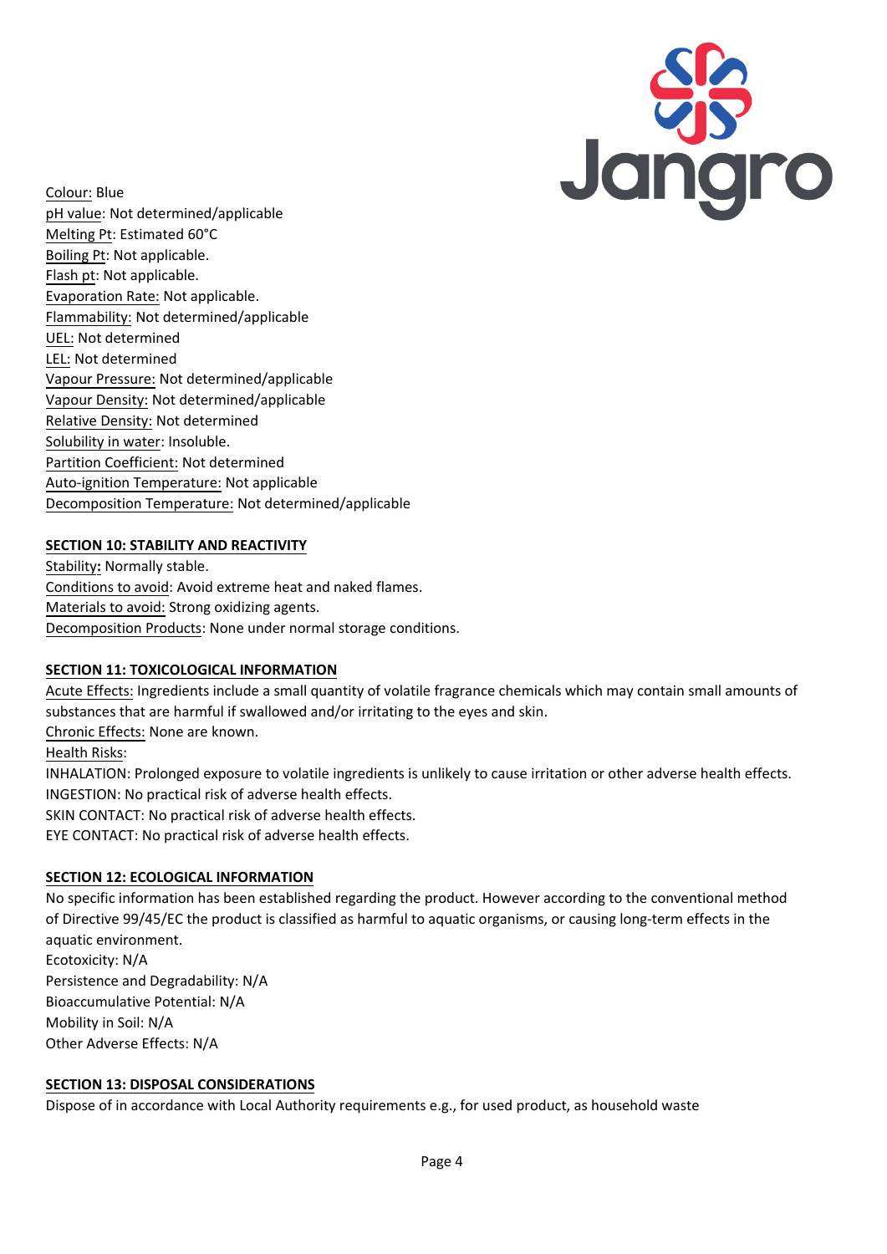

Colour: Blue pH value: Not determined/applicable Melting Pt: Estimated 60°C Boiling Pt: Not applicable. Flash pt: Not applicable. Evaporation Rate: Not applicable. Flammability: Not determined/applicable UEL: Not determined LEL: Not determined Vapour Pressure: Not determined/applicable Vapour Density: Not determined/applicable Relative Density: Not determined Solubility in water: Insoluble. Partition Coefficient: Not determined Auto-ignition Temperature: Not applicable Decomposition Temperature: Not determined/applicable

# **SECTION 10: STABILITY AND REACTIVITY**

Stability**:** Normally stable. Conditions to avoid: Avoid extreme heat and naked flames. Materials to avoid: Strong oxidizing agents. Decomposition Products: None under normal storage conditions.

#### **SECTION 11: TOXICOLOGICAL INFORMATION**

Acute Effects: Ingredients include a small quantity of volatile fragrance chemicals which may contain small amounts of substances that are harmful if swallowed and/or irritating to the eyes and skin. Chronic Effects: None are known. Health Risks: INHALATION: Prolonged exposure to volatile ingredients is unlikely to cause irritation or other adverse health effects. INGESTION: No practical risk of adverse health effects. SKIN CONTACT: No practical risk of adverse health effects. EYE CONTACT: No practical risk of adverse health effects.

#### **SECTION 12: ECOLOGICAL INFORMATION**

No specific information has been established regarding the product. However according to the conventional method of Directive 99/45/EC the product is classified as harmful to aquatic organisms, or causing long-term effects in the aquatic environment. Ecotoxicity: N/A Persistence and Degradability: N/A Bioaccumulative Potential: N/A Mobility in Soil: N/A Other Adverse Effects: N/A

#### **SECTION 13: DISPOSAL CONSIDERATIONS**

Dispose of in accordance with Local Authority requirements e.g., for used product, as household waste